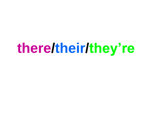# **there/their/they're**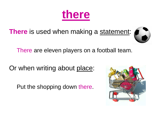

**There** is used when making a statement:



There are eleven players on a football team.

Or when writing about place:

Put the shopping down there.

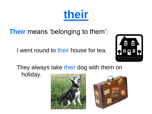## **Their** means 'belonging to them':

I went round to their house for tea.









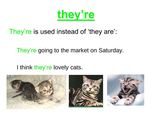

### They're is used instead of 'they are':

#### They're going to the market on Saturday.

#### I think they're lovely cats.





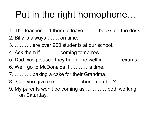# Put in the right homophone…

- 1. The teacher told them to leave …….. books on the desk.
- 2. Billy is always ……. on time.
- 3. ………. are over 900 students at our school.
- 4. Ask them if ……….. coming tomorrow.
- 5. Dad was pleased they had done well in ………. exams.
- 6. We'll go to McDonalds if ………. is time.
- 7. ………. baking a cake for their Grandma.
- 8. Can you give me ……… telephone number?
- 9. My parents won't be coming as ………… both working on Saturday.